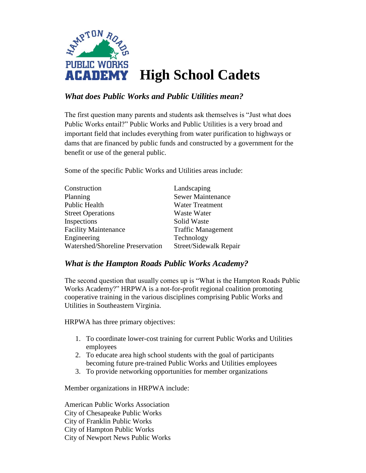

# *What does Public Works and Public Utilities mean?*

The first question many parents and students ask themselves is "Just what does Public Works entail?" Public Works and Public Utilities is a very broad and important field that includes everything from water purification to highways or dams that are financed by public funds and constructed by a government for the benefit or use of the general public.

Some of the specific Public Works and Utilities areas include:

| Construction                     | Landscaping               |
|----------------------------------|---------------------------|
| Planning                         | <b>Sewer Maintenance</b>  |
| <b>Public Health</b>             | <b>Water Treatment</b>    |
| <b>Street Operations</b>         | Waste Water               |
| Inspections                      | Solid Waste               |
| <b>Facility Maintenance</b>      | <b>Traffic Management</b> |
| Engineering                      | Technology                |
| Watershed/Shoreline Preservation | Street/Sidewalk Repair    |

## *What is the Hampton Roads Public Works Academy?*

The second question that usually comes up is "What is the Hampton Roads Public Works Academy?" HRPWA is a not-for-profit regional coalition promoting cooperative training in the various disciplines comprising Public Works and Utilities in Southeastern Virginia.

HRPWA has three primary objectives:

- 1. To coordinate lower-cost training for current Public Works and Utilities employees
- 2. To educate area high school students with the goal of participants becoming future pre-trained Public Works and Utilities employees
- 3. To provide networking opportunities for member organizations

Member organizations in HRPWA include:

American Public Works Association City of Chesapeake Public Works City of Franklin Public Works City of Hampton Public Works City of Newport News Public Works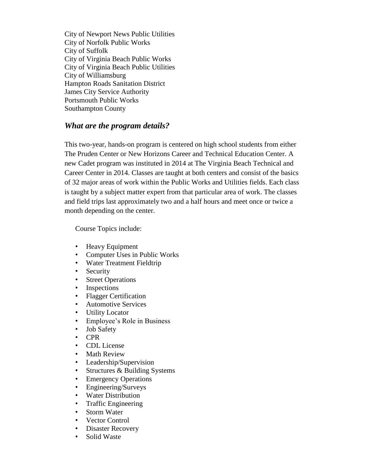City of Newport News Public Utilities City of Norfolk Public Works City of Suffolk City of Virginia Beach Public Works City of Virginia Beach Public Utilities City of Williamsburg Hampton Roads Sanitation District James City Service Authority Portsmouth Public Works Southampton County

## *What are the program details?*

This two-year, hands-on program is centered on high school students from either The Pruden Center or New Horizons Career and Technical Education Center. A new Cadet program was instituted in 2014 at The Virginia Beach Technical and Career Center in 2014. Classes are taught at both centers and consist of the basics of 32 major areas of work within the Public Works and Utilities fields. Each class is taught by a subject matter expert from that particular area of work. The classes and field trips last approximately two and a half hours and meet once or twice a month depending on the center.

Course Topics include:

- Heavy Equipment
- Computer Uses in Public Works
- Water Treatment Fieldtrip
- Security
- Street Operations
- Inspections
- Flagger Certification
- Automotive Services
- Utility Locator
- Employee's Role in Business
- Job Safety
- CPR
- CDL License
- Math Review
- Leadership/Supervision
- Structures & Building Systems
- Emergency Operations
- Engineering/Surveys
- Water Distribution
- Traffic Engineering
- Storm Water
- Vector Control
- Disaster Recovery
- Solid Waste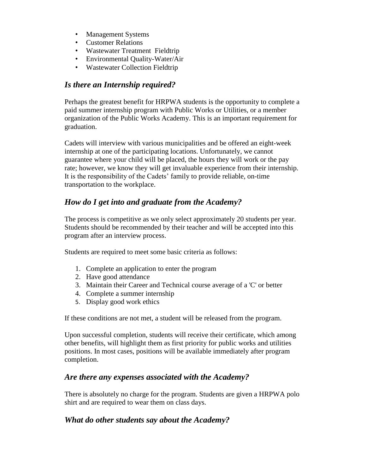- Management Systems
- Customer Relations
- Wastewater Treatment Fieldtrip
- Environmental Quality-Water/Air
- Wastewater Collection Fieldtrip

## *Is there an Internship required?*

Perhaps the greatest benefit for HRPWA students is the opportunity to complete a paid summer internship program with Public Works or Utilities, or a member organization of the Public Works Academy. This is an important requirement for graduation.

Cadets will interview with various municipalities and be offered an eight-week internship at one of the participating locations. Unfortunately, we cannot guarantee where your child will be placed, the hours they will work or the pay rate; however, we know they will get invaluable experience from their internship. It is the responsibility of the Cadets' family to provide reliable, on-time transportation to the workplace.

# *How do I get into and graduate from the Academy?*

The process is competitive as we only select approximately 20 students per year. Students should be recommended by their teacher and will be accepted into this program after an interview process.

Students are required to meet some basic criteria as follows:

- 1. Complete an application to enter the program
- 2. Have good attendance
- 3. Maintain their Career and Technical course average of a 'C' or better
- 4. Complete a summer internship
- 5. Display good work ethics

If these conditions are not met, a student will be released from the program.

Upon successful completion, students will receive their certificate, which among other benefits, will highlight them as first priority for public works and utilities positions. In most cases, positions will be available immediately after program completion.

### *Are there any expenses associated with the Academy?*

There is absolutely no charge for the program. Students are given a HRPWA polo shirt and are required to wear them on class days.

## *What do other students say about the Academy?*